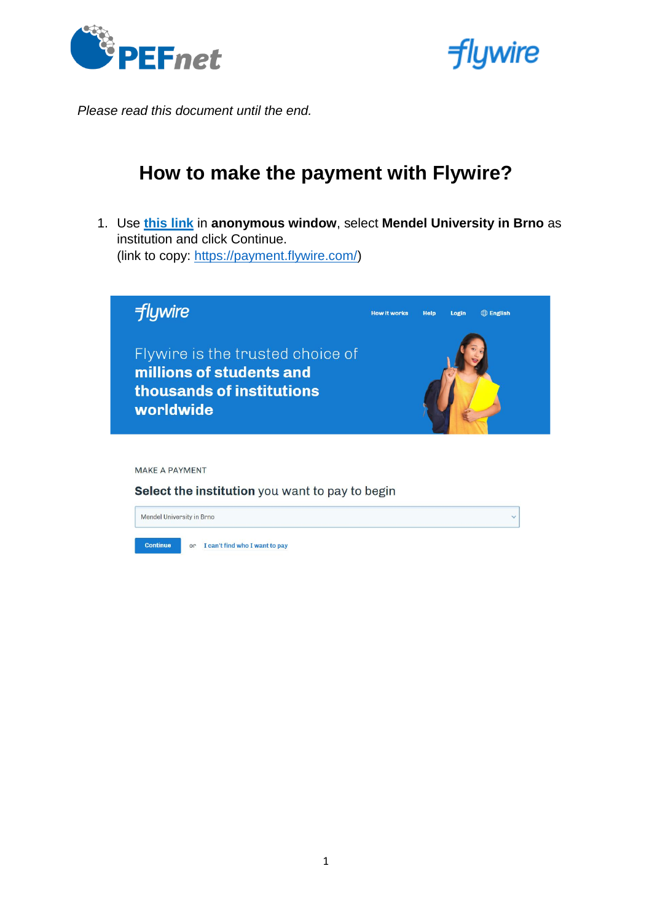



*Please read this document until the end.* 

# **How to make the payment with Flywire?**

1. Use **[this link](https://pay.flywire.com/?utm_source=www&utm_medium=web&utm_campaign=redirection)** in **anonymous window**, select **Mendel University in Brno** as institution and click Continue. (link to copy: [https://payment.flywire.com/\)](https://payment.flywire.com/)



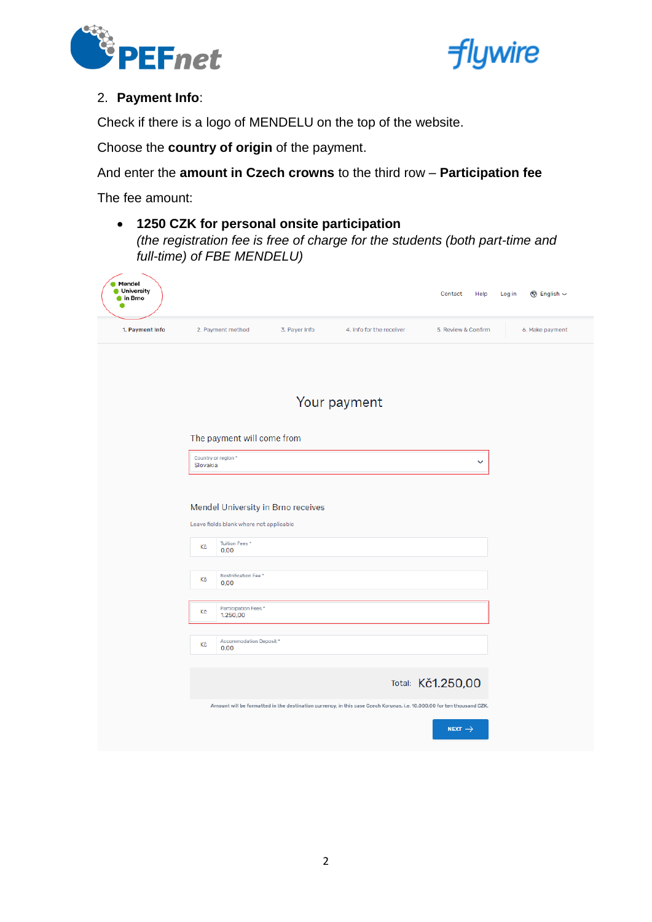



### 2. **Payment Info**:

Check if there is a logo of MENDELU on the top of the website.

Choose the **country of origin** of the payment.

And enter the **amount in Czech crowns** to the third row – **Participation fee**

The fee amount:

• **1250 CZK for personal onsite participation** *(the registration fee is free of charge for the students (both part-time and full-time) of FBE MENDELU)*

| <b>Mendel</b><br><b>University</b><br>tin Brno |                                                                                                               |               |                                                                                                                        | Contact<br>Help     | Log in<br><b><sup>⑤</sup></b> English $\sim$ |
|------------------------------------------------|---------------------------------------------------------------------------------------------------------------|---------------|------------------------------------------------------------------------------------------------------------------------|---------------------|----------------------------------------------|
| 1. Payment Info                                | 2. Payment method                                                                                             | 3. Payer Info | 4. Info for the receiver                                                                                               | 5. Review & Confirm | 6. Make payment                              |
|                                                |                                                                                                               |               | Your payment                                                                                                           |                     |                                              |
|                                                | The payment will come from                                                                                    |               |                                                                                                                        |                     |                                              |
|                                                | Country or region *<br>Slovakia                                                                               |               |                                                                                                                        | v                   |                                              |
|                                                | Mendel University in Brno receives<br>Leave fields blank where not applicable<br>Tuition Fees *<br>Kč<br>0,00 |               |                                                                                                                        |                     |                                              |
|                                                | Nostrification Fee *<br>Kč<br>0.00                                                                            |               |                                                                                                                        |                     |                                              |
|                                                | Participation Fees*<br>Kč<br>1.250,00                                                                         |               |                                                                                                                        |                     |                                              |
|                                                | Accommodation Deposit*<br>Kč<br>0,00                                                                          |               |                                                                                                                        |                     |                                              |
|                                                |                                                                                                               |               |                                                                                                                        | Total: Kč1.250,00   |                                              |
|                                                |                                                                                                               |               | Amount will be formatted in the destination currency, in this case Czech Korunas. i.e. 10.000,00 for ten thousand CZK. | NEXT $\rightarrow$  |                                              |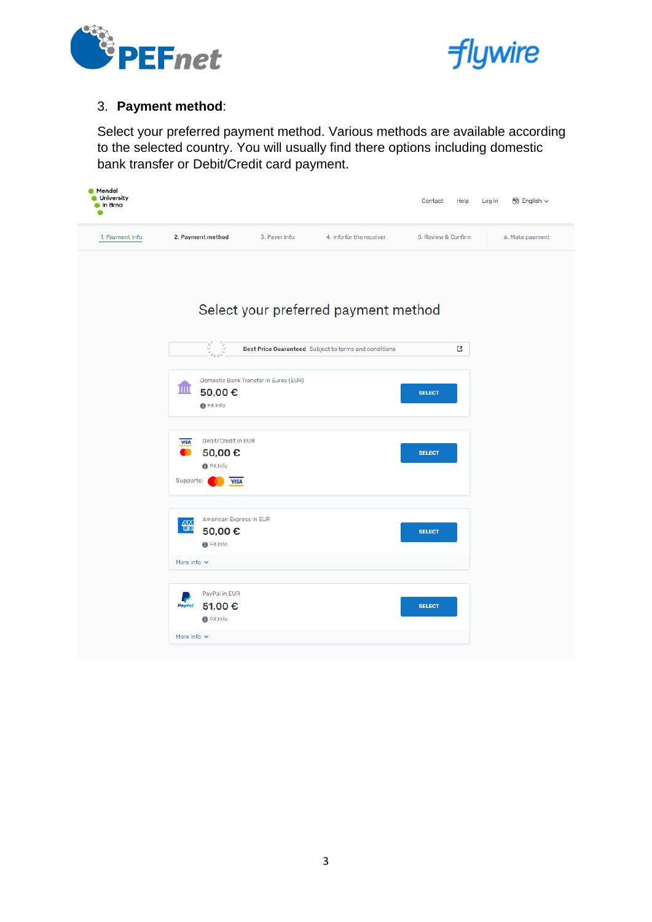



#### 3. **Payment method**:

Select your preferred payment method. Various methods are available according to the selected country. You will usually find there options including domestic bank transfer or Debit/Credit card payment.

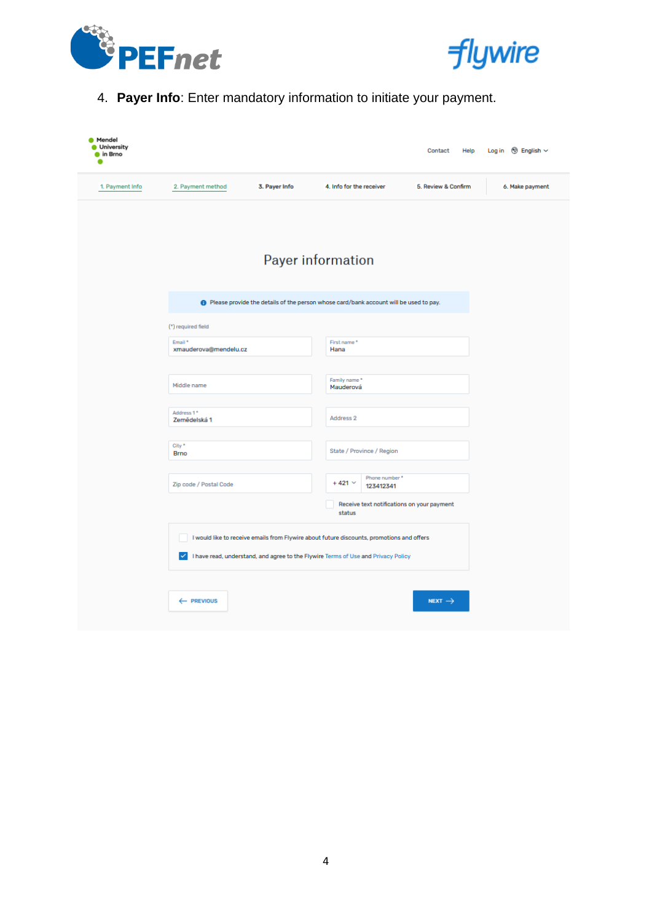



# 4. **Payer Info**: Enter mandatory information to initiate your payment.

| <b>Mendel</b><br><b>University</b><br>$\bullet$ in Brno                                        |                                                                                                                                                                                |               |                              | Contact<br>Help     | Log in $\circledR$ English $\sim$ |  |  |  |
|------------------------------------------------------------------------------------------------|--------------------------------------------------------------------------------------------------------------------------------------------------------------------------------|---------------|------------------------------|---------------------|-----------------------------------|--|--|--|
| 1. Payment Info                                                                                | 2. Payment method                                                                                                                                                              | 3. Payer Info | 4. Info for the receiver     | 5. Review & Confirm | 6. Make payment                   |  |  |  |
|                                                                                                | <b>Payer information</b>                                                                                                                                                       |               |                              |                     |                                   |  |  |  |
| <b>O</b> Please provide the details of the person whose card/bank account will be used to pay. |                                                                                                                                                                                |               |                              |                     |                                   |  |  |  |
|                                                                                                | (*) required field                                                                                                                                                             |               |                              |                     |                                   |  |  |  |
|                                                                                                | Email *<br>xmauderova@mendelu.cz                                                                                                                                               |               | First name*<br>Hana          |                     |                                   |  |  |  |
|                                                                                                |                                                                                                                                                                                |               | Family name*                 |                     |                                   |  |  |  |
|                                                                                                | Middle name                                                                                                                                                                    |               | Mauderová                    |                     |                                   |  |  |  |
|                                                                                                | Address 1*<br>Zemědelská 1                                                                                                                                                     |               | Address 2                    |                     |                                   |  |  |  |
|                                                                                                | City *<br><b>Brno</b>                                                                                                                                                          |               | State / Province / Region    |                     |                                   |  |  |  |
|                                                                                                | Zip code / Postal Code                                                                                                                                                         |               | $+421$ $\times$<br>123412341 | Phone number*       |                                   |  |  |  |
|                                                                                                | Receive text notifications on your payment<br>status                                                                                                                           |               |                              |                     |                                   |  |  |  |
|                                                                                                | I would like to receive emails from Flywire about future discounts, promotions and offers<br>I have read, understand, and agree to the Flywire Terms of Use and Privacy Policy |               |                              |                     |                                   |  |  |  |
|                                                                                                | ← PREVIOUS                                                                                                                                                                     |               |                              | NEXT $\rightarrow$  |                                   |  |  |  |